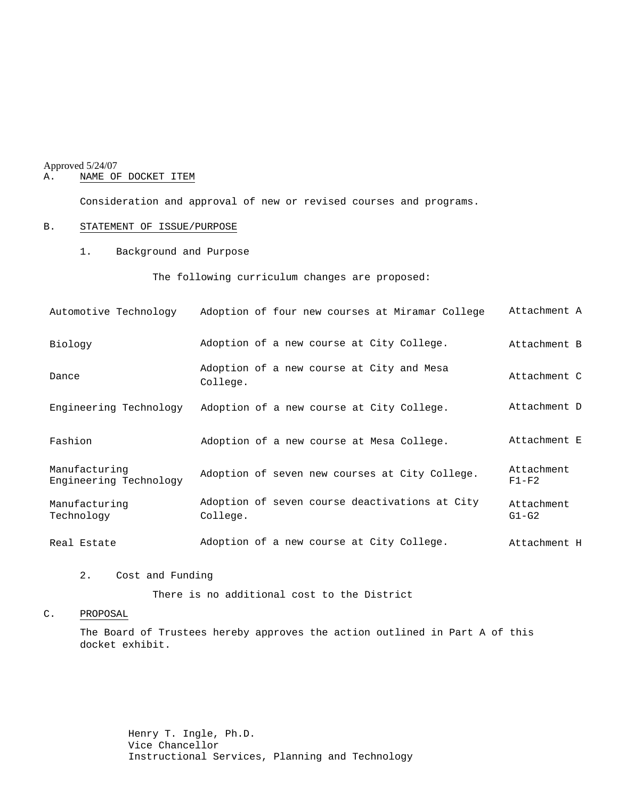# Approved 5/24/07<br>A. NAME OF

## NAME OF DOCKET ITEM

Consideration and approval of new or revised courses and programs.

## B. STATEMENT OF ISSUE/PURPOSE

1. Background and Purpose

The following curriculum changes are proposed:

| Automotive Technology                   | Adoption of four new courses at Miramar College            | Attachment A          |
|-----------------------------------------|------------------------------------------------------------|-----------------------|
| Biology                                 | Adoption of a new course at City College.                  | Attachment B          |
| Dance                                   | Adoption of a new course at City and Mesa<br>College.      | Attachment C          |
| Engineering Technology                  | Adoption of a new course at City College.                  | Attachment D          |
| Fashion                                 | Adoption of a new course at Mesa College.                  | Attachment E          |
| Manufacturing<br>Engineering Technology | Adoption of seven new courses at City College.             | Attachment<br>$F1-F2$ |
| Manufacturing<br>Technology             | Adoption of seven course deactivations at City<br>College. | Attachment<br>$G1-G2$ |
| Real Estate                             | Adoption of a new course at City College.                  | Attachment H          |

#### 2. Cost and Funding

There is no additional cost to the District

## C. PROPOSAL

The Board of Trustees hereby approves the action outlined in Part A of this docket exhibit.

> Henry T. Ingle, Ph.D. Vice Chancellor Instructional Services, Planning and Technology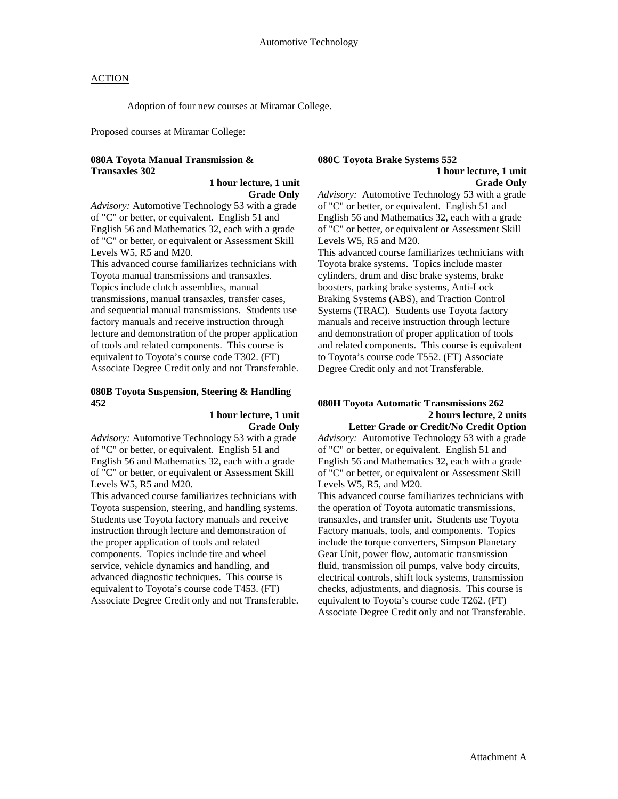Adoption of four new courses at Miramar College.

Proposed courses at Miramar College:

## **080A Toyota Manual Transmission & Transaxles 302**

## **1 hour lecture, 1 unit Grade Only**

*Advisory:* Automotive Technology 53 with a grade of "C" or better, or equivalent. English 51 and English 56 and Mathematics 32, each with a grade of "C" or better, or equivalent or Assessment Skill Levels W5, R5 and M20.

This advanced course familiarizes technicians with Toyota manual transmissions and transaxles. Topics include clutch assemblies, manual transmissions, manual transaxles, transfer cases, and sequential manual transmissions. Students use factory manuals and receive instruction through lecture and demonstration of the proper application of tools and related components. This course is equivalent to Toyota's course code T302. (FT) Associate Degree Credit only and not Transferable.

#### **080B Toyota Suspension, Steering & Handling 452**

#### **1 hour lecture, 1 unit Grade Only**

*Advisory:* Automotive Technology 53 with a grade of "C" or better, or equivalent. English 51 and English 56 and Mathematics 32, each with a grade of "C" or better, or equivalent or Assessment Skill Levels W5, R5 and M20.

This advanced course familiarizes technicians with Toyota suspension, steering, and handling systems. Students use Toyota factory manuals and receive instruction through lecture and demonstration of the proper application of tools and related components. Topics include tire and wheel service, vehicle dynamics and handling, and advanced diagnostic techniques. This course is equivalent to Toyota's course code T453. (FT) Associate Degree Credit only and not Transferable.

#### **080C Toyota Brake Systems 552 1 hour lecture, 1 unit Grade Only**

*Advisory:* Automotive Technology 53 with a grade of "C" or better, or equivalent. English 51 and English 56 and Mathematics 32, each with a grade of "C" or better, or equivalent or Assessment Skill Levels W5, R5 and M20.

This advanced course familiarizes technicians with Toyota brake systems. Topics include master cylinders, drum and disc brake systems, brake boosters, parking brake systems, Anti-Lock Braking Systems (ABS), and Traction Control Systems (TRAC). Students use Toyota factory manuals and receive instruction through lecture and demonstration of proper application of tools and related components. This course is equivalent to Toyota's course code T552. (FT) Associate Degree Credit only and not Transferable.

## **080H Toyota Automatic Transmissions 262 2 hours lecture, 2 units Letter Grade or Credit/No Credit Option**

*Advisory:* Automotive Technology 53 with a grade of "C" or better, or equivalent. English 51 and English 56 and Mathematics 32, each with a grade of "C" or better, or equivalent or Assessment Skill Levels W5, R5, and M20.

This advanced course familiarizes technicians with the operation of Toyota automatic transmissions, transaxles, and transfer unit. Students use Toyota Factory manuals, tools, and components. Topics include the torque converters, Simpson Planetary Gear Unit, power flow, automatic transmission fluid, transmission oil pumps, valve body circuits, electrical controls, shift lock systems, transmission checks, adjustments, and diagnosis. This course is equivalent to Toyota's course code T262. (FT) Associate Degree Credit only and not Transferable.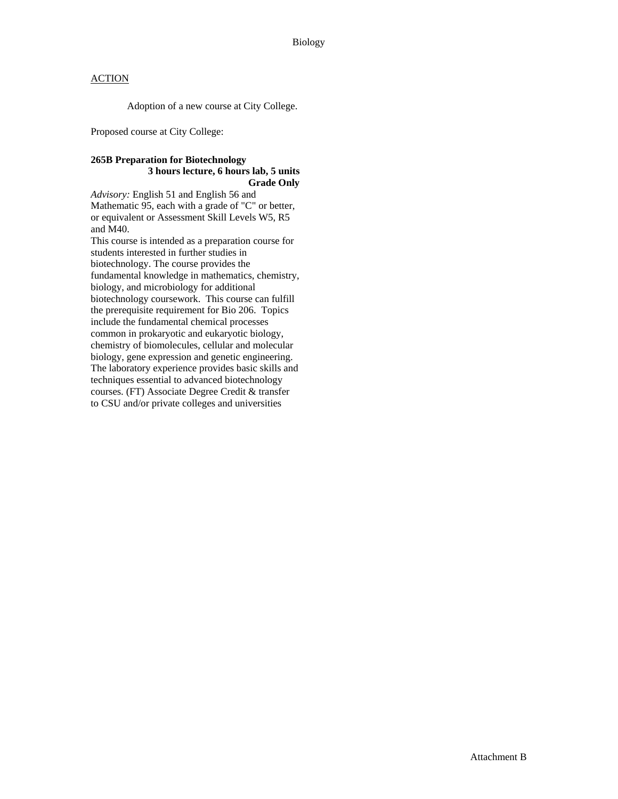Adoption of a new course at City College.

Proposed course at City College:

## **265B Preparation for Biotechnology 3 hours lecture, 6 hours lab, 5 units Grade Only**

*Advisory:* English 51 and English 56 and Mathematic 95, each with a grade of "C" or better, or equivalent or Assessment Skill Levels W5, R5 and M40.

This course is intended as a preparation course for students interested in further studies in biotechnology. The course provides the fundamental knowledge in mathematics, chemistry, biology, and microbiology for additional biotechnology coursework. This course can fulfill the prerequisite requirement for Bio 206. Topics include the fundamental chemical processes common in prokaryotic and eukaryotic biology, chemistry of biomolecules, cellular and molecular biology, gene expression and genetic engineering. The laboratory experience provides basic skills and techniques essential to advanced biotechnology courses. (FT) Associate Degree Credit & transfer to CSU and/or private colleges and universities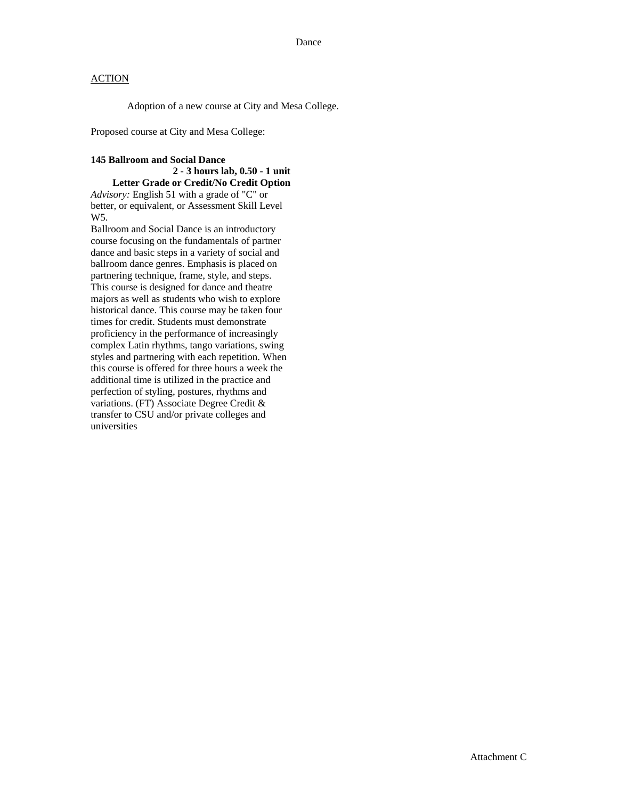Adoption of a new course at City and Mesa College.

Proposed course at City and Mesa College:

## **145 Ballroom and Social Dance**

#### **2 - 3 hours lab, 0.50 - 1 unit Letter Grade or Credit/No Credit Option**

*Advisory:* English 51 with a grade of "C" or better, or equivalent, or Assessment Skill Level W5.

Ballroom and Social Dance is an introductory course focusing on the fundamentals of partner dance and basic steps in a variety of social and ballroom dance genres. Emphasis is placed on partnering technique, frame, style, and steps. This course is designed for dance and theatre majors as well as students who wish to explore historical dance. This course may be taken four times for credit. Students must demonstrate proficiency in the performance of increasingly complex Latin rhythms, tango variations, swing styles and partnering with each repetition. When this course is offered for three hours a week the additional time is utilized in the practice and perfection of styling, postures, rhythms and variations. (FT) Associate Degree Credit & transfer to CSU and/or private colleges and universities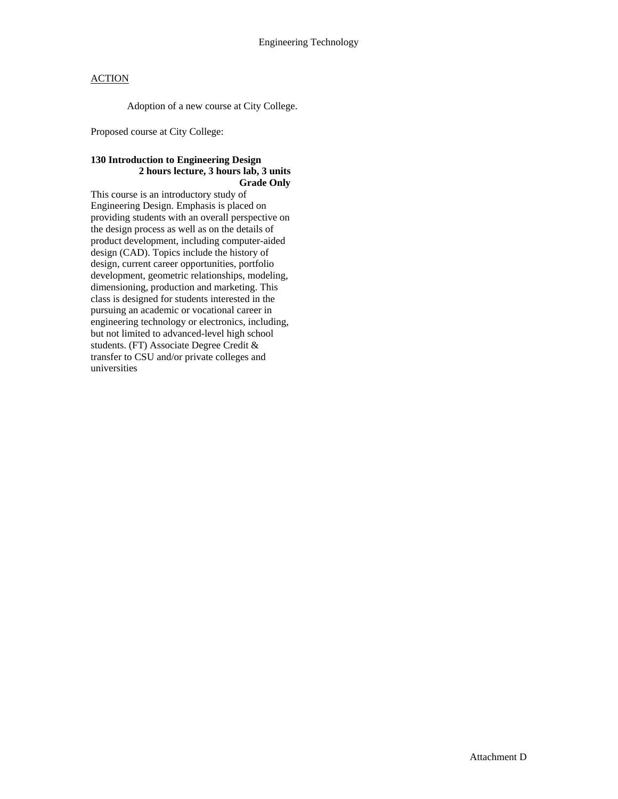Adoption of a new course at City College.

Proposed course at City College:

## **130 Introduction to Engineering Design 2 hours lecture, 3 hours lab, 3 units Grade Only**

This course is an introductory study of Engineering Design. Emphasis is placed on providing students with an overall perspective on the design process as well as on the details of product development, including computer-aided design (CAD). Topics include the history of design, current career opportunities, portfolio development, geometric relationships, modeling, dimensioning, production and marketing. This class is designed for students interested in the pursuing an academic or vocational career in engineering technology or electronics, including, but not limited to advanced-level high school students. (FT) Associate Degree Credit & transfer to CSU and/or private colleges and universities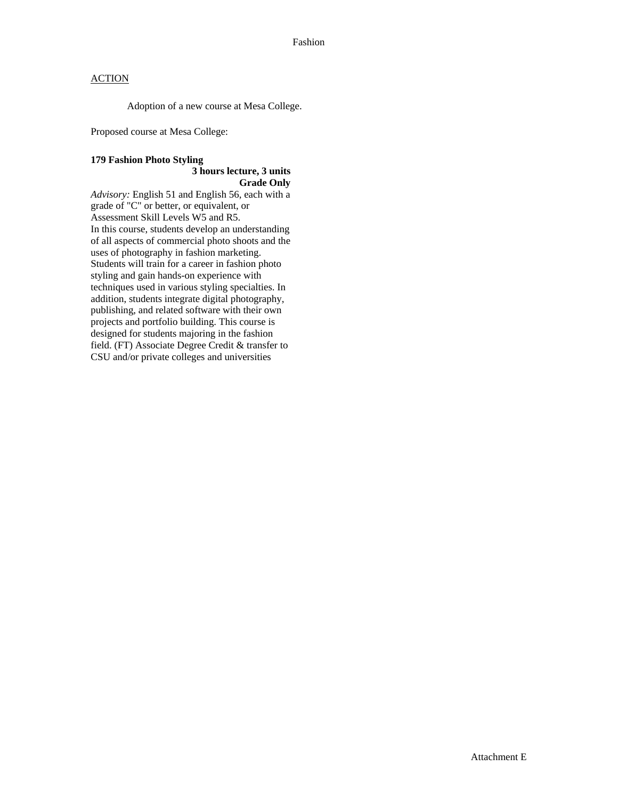Adoption of a new course at Mesa College.

Proposed course at Mesa College:

## **179 Fashion Photo Styling 3 hours lecture, 3 units Grade Only**

*Advisory:* English 51 and English 56, each with a grade of "C" or better, or equivalent, or Assessment Skill Levels W5 and R5. In this course, students develop an understanding of all aspects of commercial photo shoots and the uses of photography in fashion marketing. Students will train for a career in fashion photo styling and gain hands-on experience with techniques used in various styling specialties. In addition, students integrate digital photography, publishing, and related software with their own projects and portfolio building. This course is designed for students majoring in the fashion field. (FT) Associate Degree Credit & transfer to CSU and/or private colleges and universities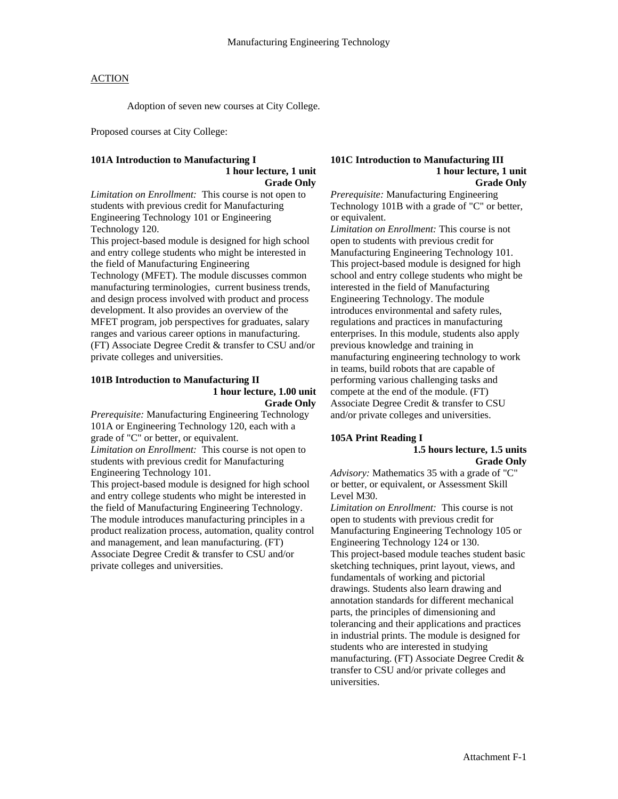Adoption of seven new courses at City College.

Proposed courses at City College:

#### **101A Introduction to Manufacturing I 1 hour lecture, 1 unit Grade Only**

*Limitation on Enrollment:* This course is not open to students with previous credit for Manufacturing Engineering Technology 101 or Engineering Technology 120.

This project-based module is designed for high school and entry college students who might be interested in the field of Manufacturing Engineering

Technology (MFET). The module discusses common manufacturing terminologies, current business trends, and design process involved with product and process development. It also provides an overview of the MFET program, job perspectives for graduates, salary ranges and various career options in manufacturing. (FT) Associate Degree Credit & transfer to CSU and/or private colleges and universities.

#### **101B Introduction to Manufacturing II 1 hour lecture, 1.00 unit Grade Only**

*Prerequisite:* Manufacturing Engineering Technology 101A or Engineering Technology 120, each with a grade of "C" or better, or equivalent. *Limitation on Enrollment:* This course is not open to students with previous credit for Manufacturing Engineering Technology 101.

This project-based module is designed for high school and entry college students who might be interested in the field of Manufacturing Engineering Technology. The module introduces manufacturing principles in a product realization process, automation, quality control and management, and lean manufacturing. (FT) Associate Degree Credit & transfer to CSU and/or private colleges and universities.

#### **101C Introduction to Manufacturing III 1 hour lecture, 1 unit Grade Only**

*Prerequisite:* Manufacturing Engineering Technology 101B with a grade of "C" or better, or equivalent.

*Limitation on Enrollment:* This course is not open to students with previous credit for Manufacturing Engineering Technology 101. This project-based module is designed for high school and entry college students who might be interested in the field of Manufacturing Engineering Technology. The module introduces environmental and safety rules, regulations and practices in manufacturing enterprises. In this module, students also apply previous knowledge and training in manufacturing engineering technology to work in teams, build robots that are capable of performing various challenging tasks and compete at the end of the module. (FT) Associate Degree Credit & transfer to CSU and/or private colleges and universities.

#### **105A Print Reading I 1.5 hours lecture, 1.5 units Grade Only**

*Advisory:* Mathematics 35 with a grade of "C" or better, or equivalent, or Assessment Skill Level M30.

*Limitation on Enrollment:* This course is not open to students with previous credit for Manufacturing Engineering Technology 105 or Engineering Technology 124 or 130. This project-based module teaches student basic sketching techniques, print layout, views, and fundamentals of working and pictorial drawings. Students also learn drawing and annotation standards for different mechanical parts, the principles of dimensioning and tolerancing and their applications and practices in industrial prints. The module is designed for students who are interested in studying manufacturing. (FT) Associate Degree Credit & transfer to CSU and/or private colleges and universities.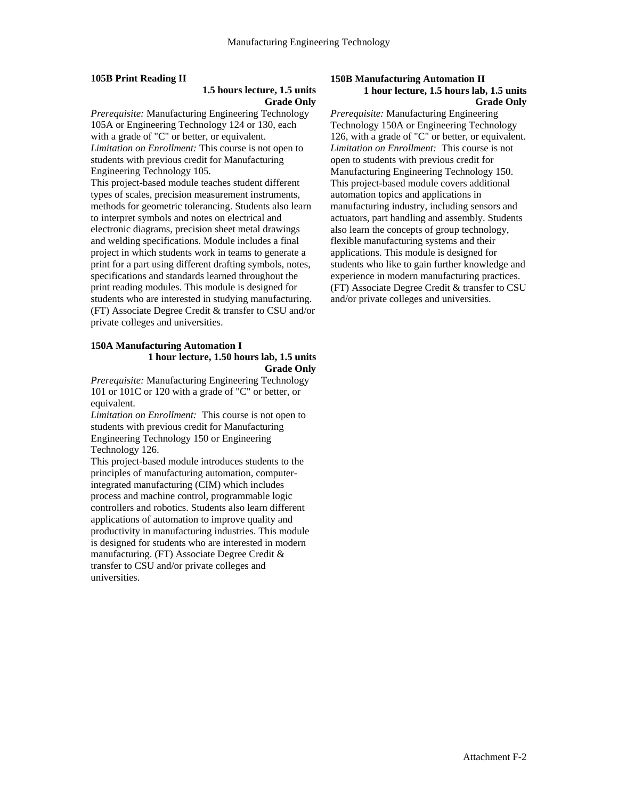## **105B Print Reading II**

## **1.5 hours lecture, 1.5 units Grade Only**

*Prerequisite:* Manufacturing Engineering Technology 105A or Engineering Technology 124 or 130, each with a grade of "C" or better, or equivalent. *Limitation on Enrollment:* This course is not open to students with previous credit for Manufacturing Engineering Technology 105.

This project-based module teaches student different types of scales, precision measurement instruments, methods for geometric tolerancing. Students also learn to interpret symbols and notes on electrical and electronic diagrams, precision sheet metal drawings and welding specifications. Module includes a final project in which students work in teams to generate a print for a part using different drafting symbols, notes, specifications and standards learned throughout the print reading modules. This module is designed for students who are interested in studying manufacturing. (FT) Associate Degree Credit & transfer to CSU and/or private colleges and universities.

#### **150A Manufacturing Automation I 1 hour lecture, 1.50 hours lab, 1.5 units Grade Only**

*Prerequisite:* Manufacturing Engineering Technology 101 or 101C or 120 with a grade of "C" or better, or equivalent.

*Limitation on Enrollment:* This course is not open to students with previous credit for Manufacturing Engineering Technology 150 or Engineering Technology 126.

This project-based module introduces students to the principles of manufacturing automation, computerintegrated manufacturing (CIM) which includes process and machine control, programmable logic controllers and robotics. Students also learn different applications of automation to improve quality and productivity in manufacturing industries. This module is designed for students who are interested in modern manufacturing. (FT) Associate Degree Credit & transfer to CSU and/or private colleges and universities.

#### **150B Manufacturing Automation II 1 hour lecture, 1.5 hours lab, 1.5 units Grade Only**

*Prerequisite:* Manufacturing Engineering Technology 150A or Engineering Technology 126, with a grade of "C" or better, or equivalent. *Limitation on Enrollment:* This course is not open to students with previous credit for Manufacturing Engineering Technology 150. This project-based module covers additional automation topics and applications in manufacturing industry, including sensors and actuators, part handling and assembly. Students also learn the concepts of group technology, flexible manufacturing systems and their applications. This module is designed for students who like to gain further knowledge and experience in modern manufacturing practices. (FT) Associate Degree Credit & transfer to CSU and/or private colleges and universities.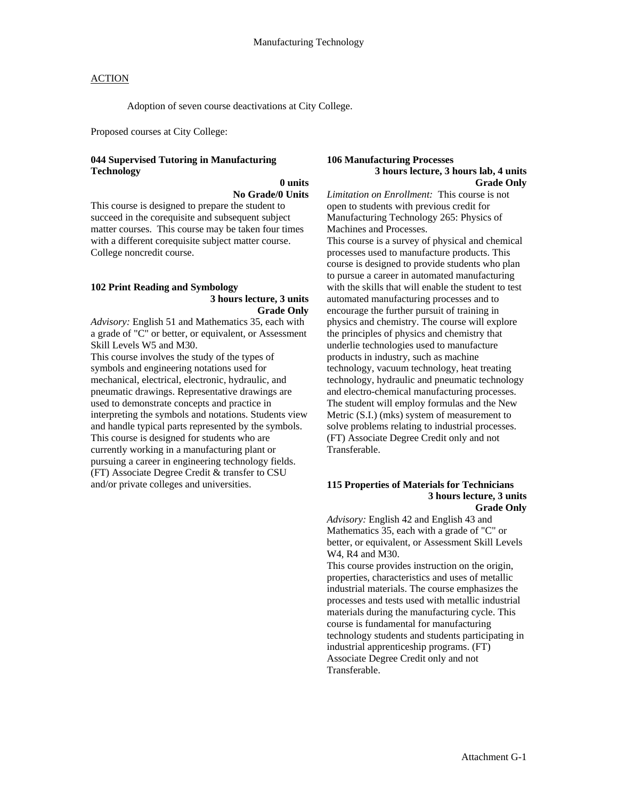Adoption of seven course deactivations at City College.

Proposed courses at City College:

## **044 Supervised Tutoring in Manufacturing Technology**

 **0 units No Grade/0 Units** 

This course is designed to prepare the student to succeed in the corequisite and subsequent subject matter courses. This course may be taken four times with a different corequisite subject matter course. College noncredit course.

#### **102 Print Reading and Symbology 3 hours lecture, 3 units Grade Only**

*Advisory:* English 51 and Mathematics 35, each with a grade of "C" or better, or equivalent, or Assessment Skill Levels W5 and M30.

This course involves the study of the types of symbols and engineering notations used for mechanical, electrical, electronic, hydraulic, and pneumatic drawings. Representative drawings are used to demonstrate concepts and practice in interpreting the symbols and notations. Students view and handle typical parts represented by the symbols. This course is designed for students who are currently working in a manufacturing plant or pursuing a career in engineering technology fields. (FT) Associate Degree Credit & transfer to CSU and/or private colleges and universities.

#### **106 Manufacturing Processes 3 hours lecture, 3 hours lab, 4 units Grade Only**

*Limitation on Enrollment:* This course is not open to students with previous credit for Manufacturing Technology 265: Physics of Machines and Processes.

This course is a survey of physical and chemical processes used to manufacture products. This course is designed to provide students who plan to pursue a career in automated manufacturing with the skills that will enable the student to test automated manufacturing processes and to encourage the further pursuit of training in physics and chemistry. The course will explore the principles of physics and chemistry that underlie technologies used to manufacture products in industry, such as machine technology, vacuum technology, heat treating technology, hydraulic and pneumatic technology and electro-chemical manufacturing processes. The student will employ formulas and the New Metric (S.I.) (mks) system of measurement to solve problems relating to industrial processes. (FT) Associate Degree Credit only and not Transferable.

#### **115 Properties of Materials for Technicians 3 hours lecture, 3 units Grade Only**

*Advisory:* English 42 and English 43 and Mathematics 35, each with a grade of "C" or better, or equivalent, or Assessment Skill Levels W4, R4 and M30.

This course provides instruction on the origin, properties, characteristics and uses of metallic industrial materials. The course emphasizes the processes and tests used with metallic industrial materials during the manufacturing cycle. This course is fundamental for manufacturing technology students and students participating in industrial apprenticeship programs. (FT) Associate Degree Credit only and not Transferable.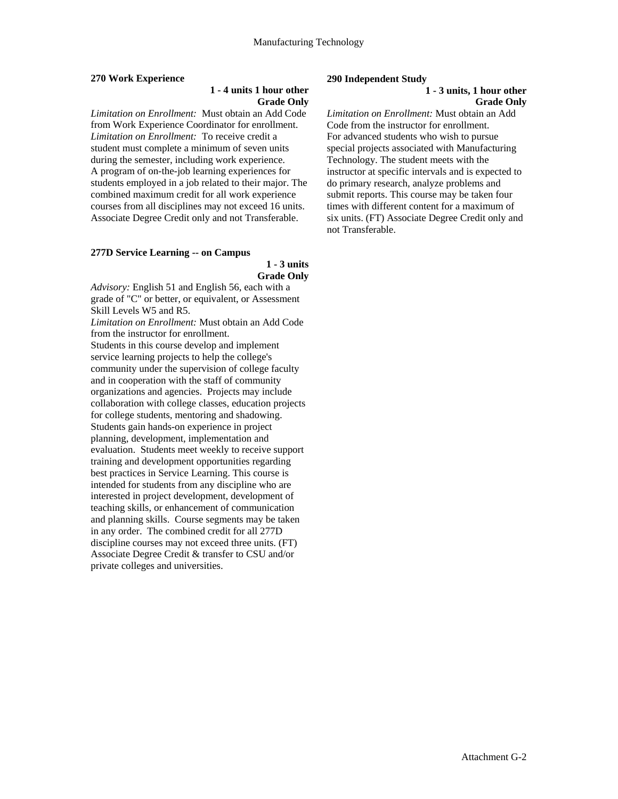## **270 Work Experience**

## **1 - 4 units 1 hour other Grade Only**

*Limitation on Enrollment:* Must obtain an Add Code from Work Experience Coordinator for enrollment. *Limitation on Enrollment:* To receive credit a student must complete a minimum of seven units during the semester, including work experience. A program of on-the-job learning experiences for students employed in a job related to their major. The combined maximum credit for all work experience courses from all disciplines may not exceed 16 units. Associate Degree Credit only and not Transferable.

# **277D Service Learning -- on Campus**

 **1 - 3 units Grade Only** 

*Advisory:* English 51 and English 56, each with a grade of "C" or better, or equivalent, or Assessment Skill Levels W5 and R5.

*Limitation on Enrollment:* Must obtain an Add Code from the instructor for enrollment.

Students in this course develop and implement service learning projects to help the college's community under the supervision of college faculty and in cooperation with the staff of community organizations and agencies. Projects may include collaboration with college classes, education projects for college students, mentoring and shadowing. Students gain hands-on experience in project planning, development, implementation and evaluation. Students meet weekly to receive support training and development opportunities regarding best practices in Service Learning. This course is intended for students from any discipline who are interested in project development, development of teaching skills, or enhancement of communication and planning skills. Course segments may be taken in any order. The combined credit for all 277D discipline courses may not exceed three units. (FT) Associate Degree Credit & transfer to CSU and/or private colleges and universities.

#### **290 Independent Study**

#### **1 - 3 units, 1 hour other Grade Only**

*Limitation on Enrollment:* Must obtain an Add Code from the instructor for enrollment. For advanced students who wish to pursue special projects associated with Manufacturing Technology. The student meets with the instructor at specific intervals and is expected to do primary research, analyze problems and submit reports. This course may be taken four times with different content for a maximum of six units. (FT) Associate Degree Credit only and not Transferable.